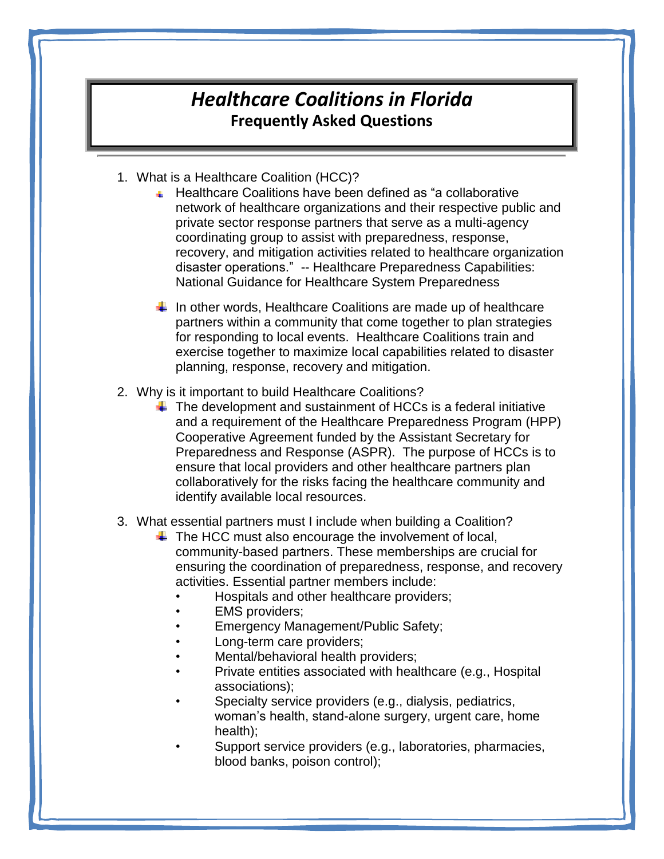## *Healthcare Coalitions in Florida* **Frequently Asked Questions**

- 1. What is a Healthcare Coalition (HCC)?
	- Healthcare Coalitions have been defined as "a collaborative network of healthcare organizations and their respective public and private sector response partners that serve as a multi-agency coordinating group to assist with preparedness, response, recovery, and mitigation activities related to healthcare organization disaster operations." -- Healthcare Preparedness Capabilities: National Guidance for Healthcare System Preparedness

 $\downarrow$  In other words, Healthcare Coalitions are made up of healthcare partners within a community that come together to plan strategies for responding to local events. Healthcare Coalitions train and exercise together to maximize local capabilities related to disaster planning, response, recovery and mitigation.

- 2. Why is it important to build Healthcare Coalitions?
	- $\ddot$  The development and sustainment of HCCs is a federal initiative and a requirement of the Healthcare Preparedness Program (HPP) Cooperative Agreement funded by the Assistant Secretary for Preparedness and Response (ASPR). The purpose of HCCs is to ensure that local providers and other healthcare partners plan collaboratively for the risks facing the healthcare community and identify available local resources.
- 3. What essential partners must I include when building a Coalition?
	- $\ddot$  The HCC must also encourage the involvement of local, community-based partners. These memberships are crucial for ensuring the coordination of preparedness, response, and recovery activities. Essential partner members include:
		- Hospitals and other healthcare providers;
		- **EMS** providers;
		- Emergency Management/Public Safety;
		- Long-term care providers;
		- Mental/behavioral health providers;
		- Private entities associated with healthcare (e.g., Hospital associations);
		- Specialty service providers (e.g., dialysis, pediatrics, woman's health, stand-alone surgery, urgent care, home health);
		- Support service providers (e.g., laboratories, pharmacies, blood banks, poison control);